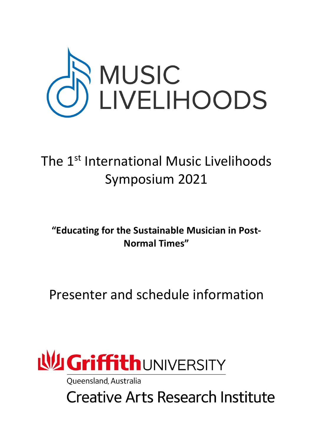

# The 1<sup>st</sup> International Music Livelihoods Symposium 2021

**"Educating for the Sustainable Musician in Post-Normal Times"**

Presenter and schedule information



**Oueensland, Australia** 

**Creative Arts Research Institute**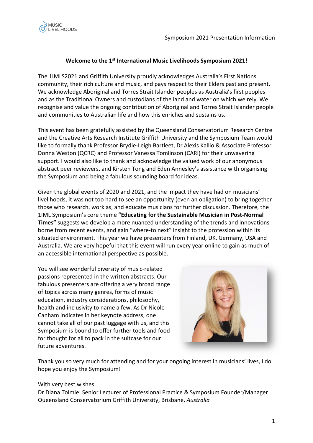

## **Welcome to the 1st International Music Livelihoods Symposium 2021!**

The 1IMLS2021 and Griffith University proudly acknowledges Australia's First Nations community, their rich culture and music, and pays respect to their Elders past and present. We acknowledge Aboriginal and Torres Strait Islander peoples as Australia's first peoples and as the Traditional Owners and custodians of the land and water on which we rely. We recognise and value the ongoing contribution of Aboriginal and Torres Strait Islander people and communities to Australian life and how this enriches and sustains us.

This event has been gratefully assisted by the Queensland Conservatorium Research Centre and the Creative Arts Research Institute Griffith University and the Symposium Team would like to formally thank Professor Brydie-Leigh Bartleet, Dr Alexis Kallio & Associate Professor Donna Weston (QCRC) and Professor Vanessa Tomlinson (CARI) for their unwavering support. I would also like to thank and acknowledge the valued work of our anonymous abstract peer reviewers, and Kirsten Tong and Eden Annesley's assistance with organising the Symposium and being a fabulous sounding board for ideas.

Given the global events of 2020 and 2021, and the impact they have had on musicians' livelihoods, it was not too hard to see an opportunity (even an obligation) to bring together those who research, work as, and educate musicians for further discussion. Therefore, the 1IML Symposium's core theme **"Educating for the Sustainable Musician in Post-Normal Times"** suggests we develop a more nuanced understanding of the trends and innovations borne from recent events, and gain "where-to next" insight to the profession within its situated environment. This year we have presenters from Finland, UK, Germany, USA and Australia. We are very hopeful that this event will run every year online to gain as much of an accessible international perspective as possible.

You will see wonderful diversity of music-related passions represented in the written abstracts. Our fabulous presenters are offering a very broad range of topics across many genres, forms of music education, industry considerations, philosophy, health and inclusivity to name a few. As Dr Nicole Canham indicates in her keynote address, one cannot take all of our past luggage with us, and this Symposium is bound to offer further tools and food for thought for all to pack in the suitcase for our future adventures.



Thank you so very much for attending and for your ongoing interest in musicians' lives, I do hope you enjoy the Symposium!

#### With very best wishes

Dr Diana Tolmie: Senior Lecturer of Professional Practice & Symposium Founder/Manager Queensland Conservatorium Griffith University, Brisbane, *Australia*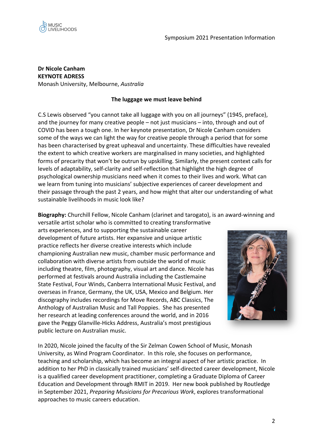

**Dr Nicole Canham KEYNOTE ADRESS** Monash University, Melbourne, *Australia*

## **The luggage we must leave behind**

C.S Lewis observed "you cannot take all luggage with you on all journeys" (1945, preface), and the journey for many creative people – not just musicians – into, through and out of COVID has been a tough one. In her keynote presentation, Dr Nicole Canham considers some of the ways we can light the way for creative people through a period that for some has been characterised by great upheaval and uncertainty. These difficulties have revealed the extent to which creative workers are marginalised in many societies, and highlighted forms of precarity that won't be outrun by upskilling. Similarly, the present context calls for levels of adaptability, self-clarity and self-reflection that highlight the high degree of psychological ownership musicians need when it comes to their lives and work. What can we learn from tuning into musicians' subjective experiences of career development and their passage through the past 2 years, and how might that alter our understanding of what sustainable livelihoods in music look like?

**Biography:** Churchill Fellow, Nicole Canham (clarinet and tarogato), is an award-winning and

versatile artist scholar who is committed to creating transformative arts experiences, and to supporting the sustainable career development of future artists. Her expansive and unique artistic practice reflects her diverse creative interests which include championing Australian new music, chamber music performance and collaboration with diverse artists from outside the world of music including theatre, film, photography, visual art and dance. Nicole has performed at festivals around Australia including the Castlemaine State Festival, Four Winds, Canberra International Music Festival, and overseas in France, Germany, the UK, USA, Mexico and Belgium. Her discography includes recordings for Move Records, ABC Classics, The Anthology of Australian Music and Tall Poppies. She has presented her research at leading conferences around the world, and in 2016 gave the Peggy Glanville-Hicks Address, Australia's most prestigious public lecture on Australian music.



In 2020, Nicole joined the faculty of the Sir Zelman Cowen School of Music, Monash University, as Wind Program Coordinator. In this role, she focuses on performance, teaching and scholarship, which has become an integral aspect of her artistic practice. In addition to her PhD in classically trained musicians' self-directed career development, Nicole is a qualified career development practitioner, completing a Graduate Diploma of Career Education and Development through RMIT in 2019. Her new book published by Routledge in September 2021, *Preparing Musicians for Precarious Work*, explores transformational approaches to music careers education.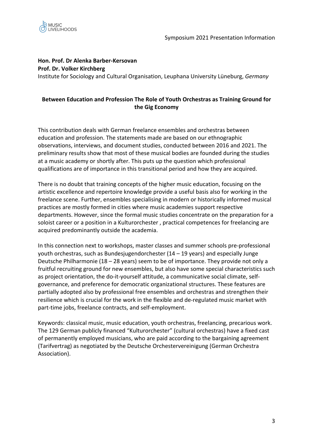

# **Hon. Prof. Dr Alenka Barber-Kersovan Prof. Dr. Volker Kirchberg**

Institute for Sociology and Cultural Organisation, Leuphana University Lüneburg, *Germany*

# **Between Education and Profession The Role of Youth Orchestras as Training Ground for the Gig Economy**

This contribution deals with German freelance ensembles and orchestras between education and profession. The statements made are based on our ethnographic observations, interviews, and document studies, conducted between 2016 and 2021. The preliminary results show that most of these musical bodies are founded during the studies at a music academy or shortly after. This puts up the question which professional qualifications are of importance in this transitional period and how they are acquired.

There is no doubt that training concepts of the higher music education, focusing on the artistic excellence and repertoire knowledge provide a useful basis also for working in the freelance scene. Further, ensembles specialising in modern or historically informed musical practices are mostly formed in cities where music academies support respective departments. However, since the formal music studies concentrate on the preparation for a soloist career or a position in a Kulturorchester , practical competences for freelancing are acquired predominantly outside the academia.

In this connection next to workshops, master classes and summer schools pre-professional youth orchestras, such as Bundesjugendorchester (14 – 19 years) and especially Junge Deutsche Philharmonie (18 – 28 years) seem to be of importance. They provide not only a fruitful recruiting ground for new ensembles, but also have some special characteristics such as project orientation, the do-it-yourself attitude, a communicative social climate, selfgovernance, and preference for democratic organizational structures. These features are partially adopted also by professional free ensembles and orchestras and strengthen their resilience which is crucial for the work in the flexible and de-regulated music market with part-time jobs, freelance contracts, and self-employment.

Keywords: classical music, music education, youth orchestras, freelancing, precarious work. The 129 German publicly financed "Kulturorchester" (cultural orchestras) have a fixed cast of permanently employed musicians, who are paid according to the bargaining agreement (Tarifvertrag) as negotiated by the Deutsche Orchestervereinigung (German Orchestra Association).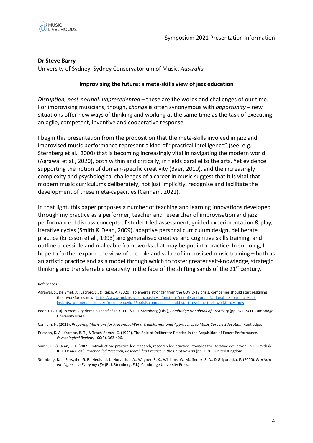



#### **Dr Steve Barry**

University of Sydney, Sydney Conservatorium of Music, *Australia*

#### **Improvising the future: a meta-skills view of jazz education**

*Disruption, post-normal, unprecedented* – these are the words and challenges of our time. For improvising musicians, though, *change* is often synonymous with *opportunity* – new situations offer new ways of thinking and working at the same time as the task of executing an agile, competent, inventive and cooperative response.

I begin this presentation from the proposition that the meta-skills involved in jazz and improvised music performance represent a kind of "practical intelligence" (see, e.g. Sternberg et al., 2000) that is becoming increasingly vital in navigating the modern world (Agrawal et al., 2020), both within and critically, in fields parallel to the arts. Yet evidence supporting the notion of domain-specific creativity (Baer, 2010), and the increasingly complexity and psychological challenges of a career in music suggest that it is vital that modern music curriculums deliberately, not just implicitly, recognise and facilitate the development of these meta-capacities (Canham, 2021).

In that light, this paper proposes a number of teaching and learning innovations developed through my practice as a performer, teacher and researcher of improvisation and jazz performance. I discuss concepts of student-led assessment, guided experimentation & play, iterative cycles (Smith & Dean, 2009), adaptive personal curriculum design, deliberate practice (Ericsson et al., 1993) and generalised creative and cognitive skills training, and outline accessible and malleable frameworks that may be put into practice. In so doing, I hope to further expand the view of the role and value of improvised music training – both as an artistic practice and as a model through which to foster greater self-knowledge, strategic thinking and transferrable creativity in the face of the shifting sands of the  $21<sup>st</sup>$  century.

#### References

- Agrawal, S., De Smet, A., Lacroix, S., & Reich, A. (2020). To emerge stronger from the COVID-19 crisis, companies should start reskilling their workforces now. https://www.mckinsey.com/business-functions/people-and-organizational-performance/ourinsights/to-emerge-stronger-from-the-covid-19-crisis-companies-should-start-reskilling-their-workforces-now
- Baer, J. (2010). Is creativity domain specific? In K. J.C. & R. J. Sternberg (Eds.), *Cambridge Handbook of Creativity* (pp. 321-341). Cambridge University Press.
- Canham, N. (2021). *Preparing Musicians for Precarious Work: Transformational Approaches to Music Careers Education*. Routledge.
- Ericsson, K. A., Krampe, R. T., & Tesch-Romer, C. (1993). The Role of Deliberate Practice in the Acquisition of Expert Performance. *Psychological Review*, *100*(3), 363-406.
- Smith, H., & Dean, R. T. (2009). Introduction: practice-led research, research-led practice towards the iterative cyclic web. In H. Smith & R. T. Dean (Eds.), *Practice-led Research, Research-led Practice in the Creative Arts* (pp. 1-38). United Kingdom.
- Sternberg, R. J., Forsythe, G. B., Hedlund, J., Horvath, J. A., Wagner, R. K., Williams, W. M., Snook, S. A., & Grigorenko, E. (2000). *Practical Intelligence in Everyday Life* (R. J. Sternberg, Ed.). Cambridge University Press.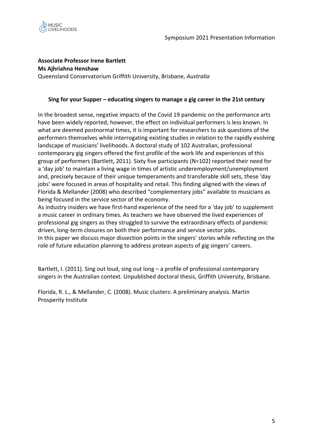

## **Associate Professor Irene Bartlett**

**Ms Ajhriahna Henshaw** Queensland Conservatorium Griffith University, Brisbane, *Australia*

#### **Sing for your Supper – educating singers to manage a gig career in the 21st century**

In the broadest sense, negative impacts of the Covid 19 pandemic on the performance arts have been widely reported; however, the effect on individual performers is less known. In what are deemed postnormal times, it is important for researchers to ask questions of the performers themselves while interrogating existing studies in relation to the rapidly evolving landscape of musicians' livelihoods. A doctoral study of 102 Australian, professional contemporary gig singers offered the first profile of the work life and experiences of this group of performers (Bartlett, 2011). Sixty five participants (N=102) reported their need for a 'day job' to maintain a living wage in times of artistic underemployment/unemployment and, precisely because of their unique temperaments and transferable skill sets, these 'day jobs' were focused in areas of hospitality and retail. This finding aligned with the views of Florida & Mellander (2008) who described "complementary jobs" available to musicians as being focused in the service sector of the economy.

As industry insiders we have first-hand experience of the need for a 'day job' to supplement a music career in ordinary times. As teachers we have observed the lived experiences of professional gig singers as they struggled to survive the extraordinary effects of pandemic driven, long-term closures on both their performance and service sector jobs. In this paper we discuss major dissection points in the singers' stories while reflecting on the role of future education planning to address protean aspects of gig singers' careers.

Bartlett, I. (2011). Sing out loud, sing out long – a profile of professional contemporary singers in the Australian context. Unpublished doctoral thesis, Griffith University, Brisbane.

Florida, R. L., & Mellander, C. (2008). Music clusters: A preliminary analysis. Martin Prosperity Institute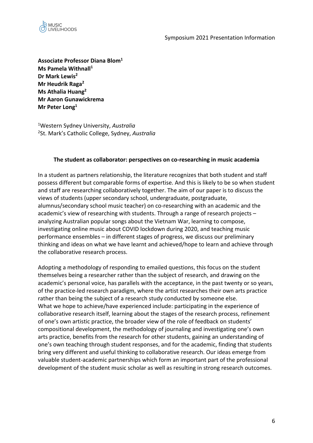

**Associate Professor Diana Blom1 Ms Pamela Withnall1 Dr Mark Lewis2 Mr Heudrik Raga2 Ms Athalia Huang2 Mr Aaron Gunawickrema Mr Peter Long1**

1 Western Sydney University, *Australia* 2 St. Mark's Catholic College, Sydney, *Australia*

#### **The student as collaborator: perspectives on co-researching in music academia**

In a student as partners relationship, the literature recognizes that both student and staff possess different but comparable forms of expertise. And this is likely to be so when student and staff are researching collaboratively together. The aim of our paper is to discuss the views of students (upper secondary school, undergraduate, postgraduate, alumnus/secondary school music teacher) on co-researching with an academic and the academic's view of researching with students. Through a range of research projects – analyzing Australian popular songs about the Vietnam War, learning to compose, investigating online music about COVID lockdown during 2020, and teaching music performance ensembles – in different stages of progress, we discuss our preliminary thinking and ideas on what we have learnt and achieved/hope to learn and achieve through the collaborative research process.

Adopting a methodology of responding to emailed questions, this focus on the student themselves being a researcher rather than the subject of research, and drawing on the academic's personal voice, has parallels with the acceptance, in the past twenty or so years, of the practice-led research paradigm, where the artist researches their own arts practice rather than being the subject of a research study conducted by someone else. What we hope to achieve/have experienced include: participating in the experience of collaborative research itself, learning about the stages of the research process, refinement of one's own artistic practice, the broader view of the role of feedback on students' compositional development, the methodology of journaling and investigating one's own arts practice, benefits from the research for other students, gaining an understanding of one's own teaching through student responses, and for the academic, finding that students bring very different and useful thinking to collaborative research. Our ideas emerge from valuable student-academic partnerships which form an important part of the professional development of the student music scholar as well as resulting in strong research outcomes.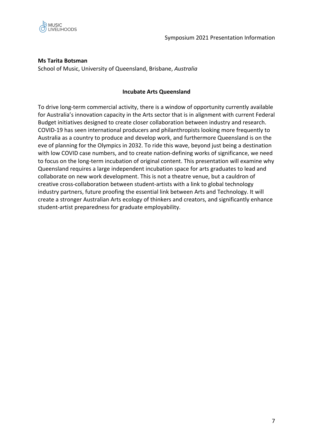

# **Ms Tarita Botsman**

School of Music, University of Queensland, Brisbane, *Australia*

#### **Incubate Arts Queensland**

To drive long-term commercial activity, there is a window of opportunity currently available for Australia's innovation capacity in the Arts sector that is in alignment with current Federal Budget initiatives designed to create closer collaboration between industry and research. COVID-19 has seen international producers and philanthropists looking more frequently to Australia as a country to produce and develop work, and furthermore Queensland is on the eve of planning for the Olympics in 2032. To ride this wave, beyond just being a destination with low COVID case numbers, and to create nation-defining works of significance, we need to focus on the long-term incubation of original content. This presentation will examine why Queensland requires a large independent incubation space for arts graduates to lead and collaborate on new work development. This is not a theatre venue, but a cauldron of creative cross-collaboration between student-artists with a link to global technology industry partners, future proofing the essential link between Arts and Technology. It will create a stronger Australian Arts ecology of thinkers and creators, and significantly enhance student-artist preparedness for graduate employability.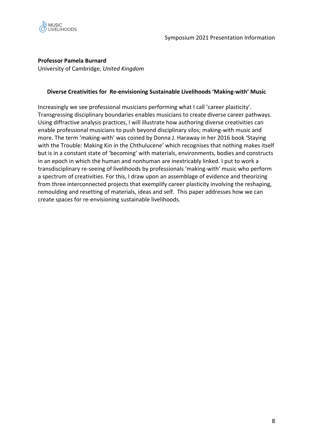

## **Professor Pamela Burnard**

University of Cambridge, *United Kingdom*

#### **Diverse Creativities for Re-envisioning Sustainable Livelihoods 'Making-with' Music**

Increasingly we see professional musicians performing what I call 'career plasticity'. Transgressing disciplinary boundaries enables musicians to create diverse career pathways. Using diffractive analysis practices, I will illustrate how authoring diverse creativities can enable professional musicians to push beyond disciplinary silos; making-with music and more. The term 'making-with' was coined by Donna J. Haraway in her 2016 book 'Staying with the Trouble: Making Kin in the Chthulucene' which recognises that nothing makes itself but is in a constant state of 'becoming' with materials, environments, bodies and constructs in an epoch in which the human and nonhuman are inextricably linked. I put to work a transdisciplinary re-seeing of livelihoods by professionals 'making-with' music who perform a spectrum of creativities. For this, I draw upon an assemblage of evidence and theorizing from three interconnected projects that exemplify career plasticity involving the reshaping, remoulding and resetting of materials, ideas and self. This paper addresses how we can create spaces for re-envisioning sustainable livelihoods.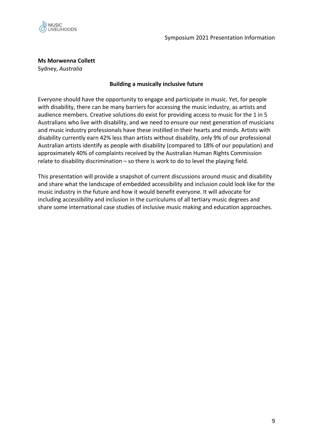

**Ms Morwenna Collett**

Sydney, *Australia*

## **Building a musically inclusive future**

Everyone should have the opportunity to engage and participate in music. Yet, for people with disability, there can be many barriers for accessing the music industry, as artists and audience members. Creative solutions do exist for providing access to music for the 1 in 5 Australians who live with disability, and we need to ensure our next generation of musicians and music industry professionals have these instilled in their hearts and minds. Artists with disability currently earn 42% less than artists without disability, only 9% of our professional Australian artists identify as people with disability (compared to 18% of our population) and approximately 40% of complaints received by the Australian Human Rights Commission relate to disability discrimination – so there is work to do to level the playing field.

This presentation will provide a snapshot of current discussions around music and disability and share what the landscape of embedded accessibility and inclusion could look like for the music industry in the future and how it would benefit everyone. It will advocate for including accessibility and inclusion in the curriculums of all tertiary music degrees and share some international case studies of inclusive music making and education approaches.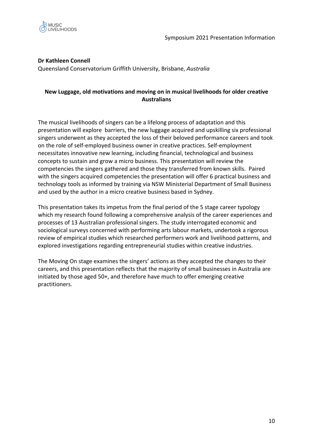

# **Dr Kathleen Connell**

Queensland Conservatorium Griffith University, Brisbane, *Australia*

## **New Luggage, old motivations and moving on in musical livelihoods for older creative Australians**

The musical livelihoods of singers can be a lifelong process of adaptation and this presentation will explore barriers, the new luggage acquired and upskilling six professional singers underwent as they accepted the loss of their beloved performance careers and took on the role of self-employed business owner in creative practices. Self-employment necessitates innovative new learning, including financial, technological and business concepts to sustain and grow a micro business. This presentation will review the competencies the singers gathered and those they transferred from known skills. Paired with the singers acquired competencies the presentation will offer 6 practical business and technology tools as informed by training via NSW Ministerial Department of Small Business and used by the author in a micro creative business based in Sydney.

This presentation takes its impetus from the final period of the 5 stage career typology which my research found following a comprehensive analysis of the career experiences and processes of 13 Australian professional singers. The study interrogated economic and sociological surveys concerned with performing arts labour markets, undertook a rigorous review of empirical studies which researched performers work and livelihood patterns, and explored investigations regarding entrepreneurial studies within creative industries.

The Moving On stage examines the singers' actions as they accepted the changes to their careers, and this presentation reflects that the majority of small businesses in Australia are initiated by those aged 50+, and therefore have much to offer emerging creative practitioners.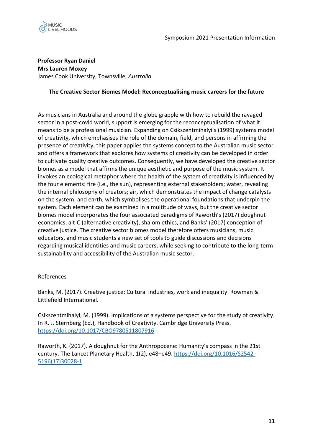

## **Professor Ryan Daniel Mrs Lauren Moxey** James Cook University, Townsville, *Australia*

## **The Creative Sector Biomes Model: Reconceptualising music careers for the future**

As musicians in Australia and around the globe grapple with how to rebuild the ravaged sector in a post-covid world, support is emerging for the reconceptualisation of what it means to be a professional musician. Expanding on Csikszentmihalyi's (1999) systems model of creativity, which emphasises the role of the domain, field, and persons in affirming the presence of creativity, this paper applies the systems concept to the Australian music sector and offers a framework that explores how systems of creativity can be developed in order to cultivate quality creative outcomes. Consequently, we have developed the creative sector biomes as a model that affirms the unique aesthetic and purpose of the music system. It invokes an ecological metaphor where the health of the system of creativity is influenced by the four elements: fire (i.e., the sun), representing external stakeholders; water, revealing the internal philosophy of creators; air, which demonstrates the impact of change catalysts on the system; and earth, which symbolises the operational foundations that underpin the system. Each element can be examined in a multitude of ways, but the creative sector biomes model incorporates the four associated paradigms of Raworth's (2017) doughnut economics, alt-C (alternative creativity), shalom ethics, and Banks' (2017) conception of creative justice. The creative sector biomes model therefore offers musicians, music educators, and music students a new set of tools to guide discussions and decisions regarding musical identities and music careers, while seeking to contribute to the long-term sustainability and accessibility of the Australian music sector.

#### References

Banks, M. (2017). Creative justice: Cultural industries, work and inequality. Rowman & Littlefield International.

Csikszentmihalyi, M. (1999). Implications of a systems perspective for the study of creativity. In R. J. Sternberg (Ed.), Handbook of Creativity. Cambridge University Press. https://doi.org/10.1017/CBO9780511807916

Raworth, K. (2017). A doughnut for the Anthropocene: Humanity's compass in the 21st century. The Lancet Planetary Health, 1(2), e48–e49. https://doi.org/10.1016/S2542- 5196(17)30028-1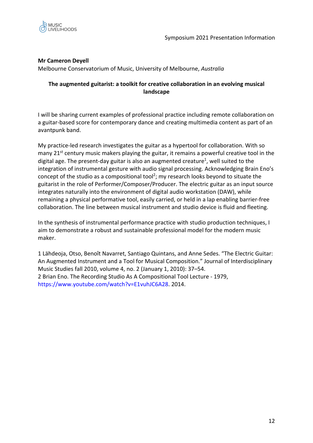

## **Mr Cameron Deyell**

Melbourne Conservatorium of Music, University of Melbourne, *Australia*

## **The augmented guitarist: a toolkit for creative collaboration in an evolving musical landscape**

I will be sharing current examples of professional practice including remote collaboration on a guitar-based score for contemporary dance and creating multimedia content as part of an avantpunk band.

My practice-led research investigates the guitar as a hypertool for collaboration. With so many  $21<sup>st</sup>$  century music makers playing the guitar, it remains a powerful creative tool in the digital age. The present-day guitar is also an augmented creature<sup>1</sup>, well suited to the integration of instrumental gesture with audio signal processing. Acknowledging Brain Eno's concept of the studio as a compositional tool<sup>2</sup>; my research looks beyond to situate the guitarist in the role of Performer/Composer/Producer. The electric guitar as an input source integrates naturally into the environment of digital audio workstation (DAW), while remaining a physical performative tool, easily carried, or held in a lap enabling barrier-free collaboration. The line between musical instrument and studio device is fluid and fleeting.

In the synthesis of instrumental performance practice with studio production techniques, I aim to demonstrate a robust and sustainable professional model for the modern music maker.

1 Lähdeoja, Otso, Benoît Navarret, Santiago Quintans, and Anne Sedes. "The Electric Guitar: An Augmented Instrument and a Tool for Musical Composition." Journal of Interdisciplinary Music Studies fall 2010, volume 4, no. 2 (January 1, 2010): 37–54. 2 Brian Eno. The Recording Studio As A Compositional Tool Lecture - 1979, https://www.youtube.com/watch?v=E1vuhJC6A28. 2014.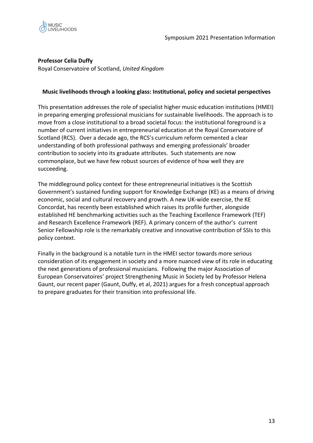

## **Professor Celia Duffy**

Royal Conservatoire of Scotland, *United Kingdom*

#### **Music livelihoods through a looking glass: Institutional, policy and societal perspectives**

This presentation addresses the role of specialist higher music education institutions (HMEI) in preparing emerging professional musicians for sustainable livelihoods. The approach is to move from a close institutional to a broad societal focus: the institutional foreground is a number of current initiatives in entrepreneurial education at the Royal Conservatoire of Scotland (RCS). Over a decade ago, the RCS's curriculum reform cemented a clear understanding of both professional pathways and emerging professionals' broader contribution to society into its graduate attributes. Such statements are now commonplace, but we have few robust sources of evidence of how well they are succeeding.

The middleground policy context for these entrepreneurial initiatives is the Scottish Government's sustained funding support for Knowledge Exchange (KE) as a means of driving economic, social and cultural recovery and growth. A new UK-wide exercise, the KE Concordat, has recently been established which raises its profile further, alongside established HE benchmarking activities such as the Teaching Excellence Framework (TEF) and Research Excellence Framework (REF). A primary concern of the author's current Senior Fellowship role is the remarkably creative and innovative contribution of SSIs to this policy context.

Finally in the background is a notable turn in the HMEI sector towards more serious consideration of its engagement in society and a more nuanced view of its role in educating the next generations of professional musicians. Following the major Association of European Conservatoires' project Strengthening Music in Society led by Professor Helena Gaunt, our recent paper (Gaunt, Duffy, et al, 2021) argues for a fresh conceptual approach to prepare graduates for their transition into professional life.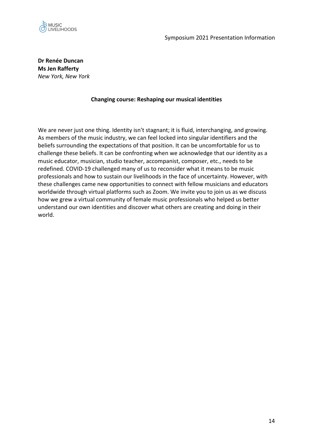

**Dr Renée Duncan Ms Jen Rafferty** *New York, New York*

#### **Changing course: Reshaping our musical identities**

We are never just one thing. Identity isn't stagnant; it is fluid, interchanging, and growing. As members of the music industry, we can feel locked into singular identifiers and the beliefs surrounding the expectations of that position. It can be uncomfortable for us to challenge these beliefs. It can be confronting when we acknowledge that our identity as a music educator, musician, studio teacher, accompanist, composer, etc., needs to be redefined. COVID-19 challenged many of us to reconsider what it means to be music professionals and how to sustain our livelihoods in the face of uncertainty. However, with these challenges came new opportunities to connect with fellow musicians and educators worldwide through virtual platforms such as Zoom. We invite you to join us as we discuss how we grew a virtual community of female music professionals who helped us better understand our own identities and discover what others are creating and doing in their world.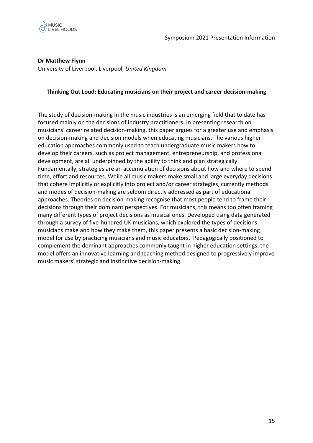

**Dr Matthew Flynn**

University of Liverpool, Liverpool, *United Kingdom*

#### **Thinking Out Loud: Educating musicians on their project and career decision-making**

The study of decision-making in the music industries is an emerging field that to date has focused mainly on the decisions of industry practitioners. In presenting research on musicians' career related decision-making, this paper argues for a greater use and emphasis on decision-making and decision models when educating musicians. The various higher education approaches commonly used to teach undergraduate music makers how to develop their careers, such as project management, entrepreneurship, and professional development, are all underpinned by the ability to think and plan strategically. Fundamentally, strategies are an accumulation of decisions about how and where to spend time, effort and resources. While all music makers make small and large everyday decisions that cohere implicitly or explicitly into project and/or career strategies, currently methods and modes of decision-making are seldom directly addressed as part of educational approaches. Theories on decision-making recognise that most people tend to frame their decisions through their dominant perspectives. For musicians, this means too often framing many different types of project decisions as musical ones. Developed using data generated through a survey of five-hundred UK musicians, which explored the types of decisions musicians make and how they make them, this paper presents a basic decision-making model for use by practicing musicians and music educators. Pedagogically positioned to complement the dominant approaches commonly taught in higher education settings, the model offers an innovative learning and teaching method designed to progressively improve music makers' strategic and instinctive decision-making.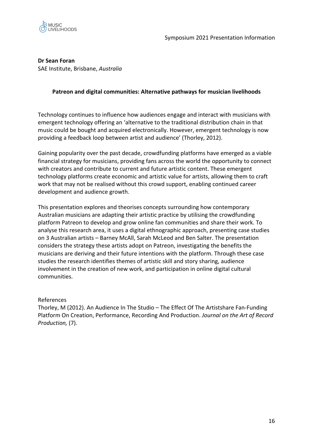

**Dr Sean Foran**

SAE Institute, Brisbane, *Australia*

## **Patreon and digital communities: Alternative pathways for musician livelihoods**

Technology continues to influence how audiences engage and interact with musicians with emergent technology offering an 'alternative to the traditional distribution chain in that music could be bought and acquired electronically. However, emergent technology is now providing a feedback loop between artist and audience' (Thorley, 2012).

Gaining popularity over the past decade, crowdfunding platforms have emerged as a viable financial strategy for musicians, providing fans across the world the opportunity to connect with creators and contribute to current and future artistic content. These emergent technology platforms create economic and artistic value for artists, allowing them to craft work that may not be realised without this crowd support, enabling continued career development and audience growth.

This presentation explores and theorises concepts surrounding how contemporary Australian musicians are adapting their artistic practice by utilising the crowdfunding platform Patreon to develop and grow online fan communities and share their work. To analyse this research area, it uses a digital ethnographic approach, presenting case studies on 3 Australian artists – Barney McAll, Sarah McLeod and Ben Salter. The presentation considers the strategy these artists adopt on Patreon, investigating the benefits the musicians are deriving and their future intentions with the platform. Through these case studies the research identifies themes of artistic skill and story sharing, audience involvement in the creation of new work, and participation in online digital cultural communities.

## References

Thorley, M (2012). An Audience In The Studio – The Effect Of The Artistshare Fan-Funding Platform On Creation, Performance, Recording And Production. *Journal on the Art of Record Production,* (7).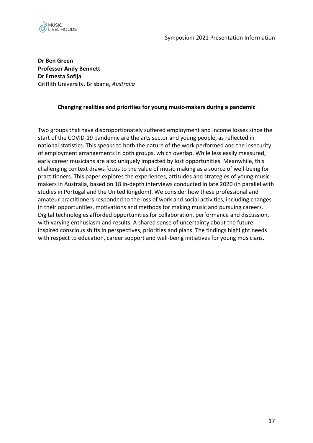

**Dr Ben Green Professor Andy Bennett Dr Ernesta Sofija** Griffith University, Brisbane, *Australia*

## **Changing realities and priorities for young music-makers during a pandemic**

Two groups that have disproportionately suffered employment and income losses since the start of the COVID-19 pandemic are the arts sector and young people, as reflected in national statistics. This speaks to both the nature of the work performed and the insecurity of employment arrangements in both groups, which overlap. While less easily measured, early career musicians are also uniquely impacted by lost opportunities. Meanwhile, this challenging context draws focus to the value of music-making as a source of well-being for practitioners. This paper explores the experiences, attitudes and strategies of young musicmakers in Australia, based on 18 in-depth interviews conducted in late 2020 (in parallel with studies in Portugal and the United Kingdom). We consider how these professional and amateur practitioners responded to the loss of work and social activities, including changes in their opportunities, motivations and methods for making music and pursuing careers. Digital technologies afforded opportunities for collaboration, performance and discussion, with varying enthusiasm and results. A shared sense of uncertainty about the future inspired conscious shifts in perspectives, priorities and plans. The findings highlight needs with respect to education, career support and well-being initiatives for young musicians.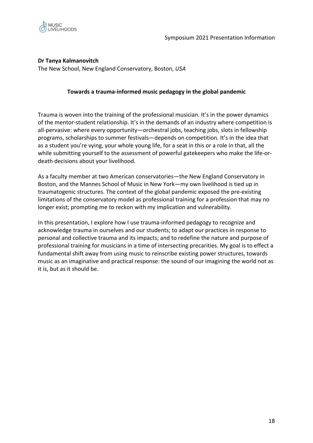

## **Dr Tanya Kalmanovitch**

The New School, New England Conservatory, Boston, *USA*

## **Towards a trauma-informed music pedagogy in the global pandemic**

Trauma is woven into the training of the professional musician. It's in the power dynamics of the mentor-student relationship. It's in the demands of an industry where competition is all-pervasive: where every opportunity—orchestral jobs, teaching jobs, slots in fellowship programs, scholarships to summer festivals—depends on competition. It's in the idea that as a student you're vying, your whole young life, for a seat in this or a role in that, all the while submitting yourself to the assessment of powerful gatekeepers who make the life-ordeath decisions about your livelihood.

As a faculty member at two American conservatories—the New England Conservatory in Boston, and the Mannes School of Music in New York—my own livelihood is tied up in traumatogenic structures. The context of the global pandemic exposed the pre-existing limitations of the conservatory model as professional training for a profession that may no longer exist; prompting me to reckon with my implication and vulnerability.

In this presentation, I explore how I use trauma-informed pedagogy to recognize and acknowledge trauma in ourselves and our students; to adapt our practices in response to personal and collective trauma and its impacts; and to redefine the nature and purpose of professional training for musicians in a time of intersecting precarities. My goal is to effect a fundamental shift away from using music to reinscribe existing power structures, towards music as an imaginative and practical response: the sound of our imagining the world not as it is, but as it should be.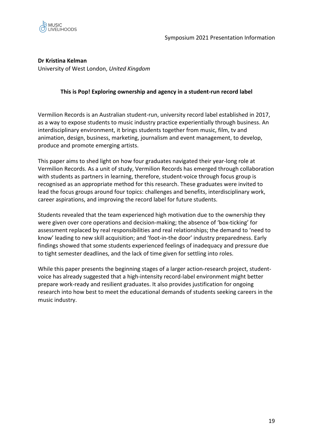

**Dr Kristina Kelman**

University of West London, *United Kingdom*

## **This is Pop! Exploring ownership and agency in a student-run record label**

Vermilion Records is an Australian student-run, university record label established in 2017, as a way to expose students to music industry practice experientially through business. An interdisciplinary environment, it brings students together from music, film, tv and animation, design, business, marketing, journalism and event management, to develop, produce and promote emerging artists.

This paper aims to shed light on how four graduates navigated their year-long role at Vermilion Records. As a unit of study, Vermilion Records has emerged through collaboration with students as partners in learning, therefore, student-voice through focus group is recognised as an appropriate method for this research. These graduates were invited to lead the focus groups around four topics: challenges and benefits, interdisciplinary work, career aspirations, and improving the record label for future students.

Students revealed that the team experienced high motivation due to the ownership they were given over core operations and decision-making; the absence of 'box-ticking' for assessment replaced by real responsibilities and real relationships; the demand to 'need to know' leading to new skill acquisition; and 'foot-in-the door' industry preparedness. Early findings showed that some students experienced feelings of inadequacy and pressure due to tight semester deadlines, and the lack of time given for settling into roles.

While this paper presents the beginning stages of a larger action-research project, studentvoice has already suggested that a high-intensity record-label environment might better prepare work-ready and resilient graduates. It also provides justification for ongoing research into how best to meet the educational demands of students seeking careers in the music industry.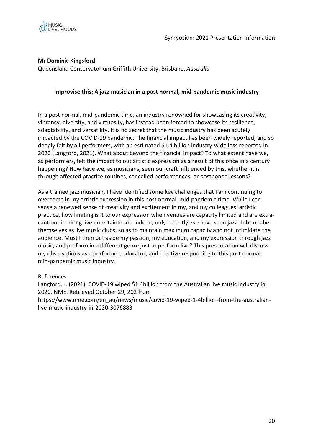

## **Mr Dominic Kingsford**

Queensland Conservatorium Griffith University, Brisbane, *Australia*

#### **Improvise this: A jazz musician in a post normal, mid-pandemic music industry**

In a post normal, mid-pandemic time, an industry renowned for showcasing its creativity, vibrancy, diversity, and virtuosity, has instead been forced to showcase its resilience, adaptability, and versatility. It is no secret that the music industry has been acutely impacted by the COVID-19 pandemic. The financial impact has been widely reported, and so deeply felt by all performers, with an estimated \$1.4 billion industry-wide loss reported in 2020 (Langford, 2021). What about beyond the financial impact? To what extent have we, as performers, felt the impact to out artistic expression as a result of this once in a century happening? How have we, as musicians, seen our craft influenced by this, whether it is through affected practice routines, cancelled performances, or postponed lessons?

As a trained jazz musician, I have identified some key challenges that I am continuing to overcome in my artistic expression in this post normal, mid-pandemic time. While I can sense a renewed sense of creativity and excitement in my, and my colleagues' artistic practice, how limiting is it to our expression when venues are capacity limited and are extracautious in hiring live entertainment. Indeed, only recently, we have seen jazz clubs relabel themselves as live music clubs, so as to maintain maximum capacity and not intimidate the audience. Must I then put aside my passion, my education, and my expression through jazz music, and perform in a different genre just to perform live? This presentation will discuss my observations as a performer, educator, and creative responding to this post normal, mid-pandemic music industry.

#### References

Langford, J. (2021). COVID-19 wiped \$1.4billion from the Australian live music industry in 2020. NME. Retrieved October 29, 202 from https://www.nme.com/en\_au/news/music/covid-19-wiped-1-4billion-from-the-australianlive-music-industry-in-2020-3076883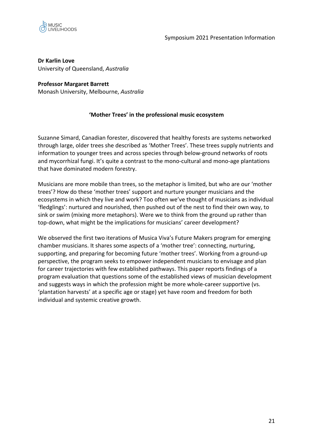

**Dr Karlin Love** University of Queensland, *Australia*

# **Professor Margaret Barrett**

Monash University, Melbourne, *Australia*

## **'Mother Trees' in the professional music ecosystem**

Suzanne Simard, Canadian forester, discovered that healthy forests are systems networked through large, older trees she described as 'Mother Trees'. These trees supply nutrients and information to younger trees and across species through below-ground networks of roots and mycorrhizal fungi. It's quite a contrast to the mono-cultural and mono-age plantations that have dominated modern forestry.

Musicians are more mobile than trees, so the metaphor is limited, but who are our 'mother trees'? How do these 'mother trees' support and nurture younger musicians and the ecosystems in which they live and work? Too often we've thought of musicians as individual 'fledglings': nurtured and nourished, then pushed out of the nest to find their own way, to sink or swim (mixing more metaphors). Were we to think from the ground up rather than top-down, what might be the implications for musicians' career development?

We observed the first two iterations of Musica Viva's Future Makers program for emerging chamber musicians. It shares some aspects of a 'mother tree': connecting, nurturing, supporting, and preparing for becoming future 'mother trees'. Working from a ground-up perspective, the program seeks to empower independent musicians to envisage and plan for career trajectories with few established pathways. This paper reports findings of a program evaluation that questions some of the established views of musician development and suggests ways in which the profession might be more whole-career supportive (vs. 'plantation harvests' at a specific age or stage) yet have room and freedom for both individual and systemic creative growth.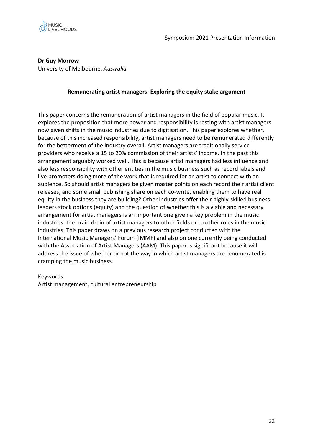

**Dr Guy Morrow** University of Melbourne, *Australia*

#### **Remunerating artist managers: Exploring the equity stake argument**

This paper concerns the remuneration of artist managers in the field of popular music. It explores the proposition that more power and responsibility is resting with artist managers now given shifts in the music industries due to digitisation. This paper explores whether, because of this increased responsibility, artist managers need to be remunerated differently for the betterment of the industry overall. Artist managers are traditionally service providers who receive a 15 to 20% commission of their artists' income. In the past this arrangement arguably worked well. This is because artist managers had less influence and also less responsibility with other entities in the music business such as record labels and live promoters doing more of the work that is required for an artist to connect with an audience. So should artist managers be given master points on each record their artist client releases, and some small publishing share on each co-write, enabling them to have real equity in the business they are building? Other industries offer their highly-skilled business leaders stock options (equity) and the question of whether this is a viable and necessary arrangement for artist managers is an important one given a key problem in the music industries: the brain drain of artist managers to other fields or to other roles in the music industries. This paper draws on a previous research project conducted with the International Music Managers' Forum (IMMF) and also on one currently being conducted with the Association of Artist Managers (AAM). This paper is significant because it will address the issue of whether or not the way in which artist managers are renumerated is cramping the music business.

#### Keywords

Artist management, cultural entrepreneurship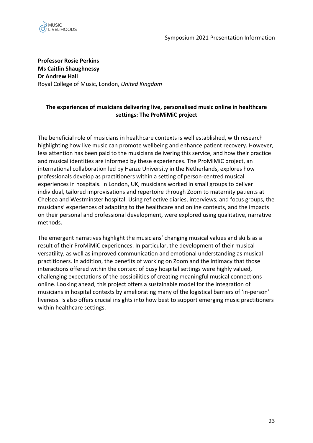

**Professor Rosie Perkins Ms Caitlin Shaughnessy Dr Andrew Hall** Royal College of Music, London, *United Kingdom* 

## **The experiences of musicians delivering live, personalised music online in healthcare settings: The ProMiMiC project**

The beneficial role of musicians in healthcare contexts is well established, with research highlighting how live music can promote wellbeing and enhance patient recovery. However, less attention has been paid to the musicians delivering this service, and how their practice and musical identities are informed by these experiences. The ProMiMiC project, an international collaboration led by Hanze University in the Netherlands, explores how professionals develop as practitioners within a setting of person-centred musical experiences in hospitals. In London, UK, musicians worked in small groups to deliver individual, tailored improvisations and repertoire through Zoom to maternity patients at Chelsea and Westminster hospital. Using reflective diaries, interviews, and focus groups, the musicians' experiences of adapting to the healthcare and online contexts, and the impacts on their personal and professional development, were explored using qualitative, narrative methods.

The emergent narratives highlight the musicians' changing musical values and skills as a result of their ProMiMiC experiences. In particular, the development of their musical versatility, as well as improved communication and emotional understanding as musical practitioners. In addition, the benefits of working on Zoom and the intimacy that those interactions offered within the context of busy hospital settings were highly valued, challenging expectations of the possibilities of creating meaningful musical connections online. Looking ahead, this project offers a sustainable model for the integration of musicians in hospital contexts by ameliorating many of the logistical barriers of 'in-person' liveness. Is also offers crucial insights into how best to support emerging music practitioners within healthcare settings.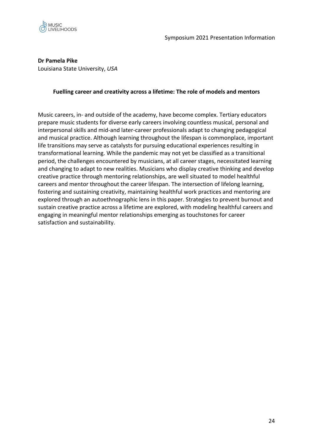

**Dr Pamela Pike**

Louisiana State University, *USA*

#### **Fuelling career and creativity across a lifetime: The role of models and mentors**

Music careers, in- and outside of the academy, have become complex. Tertiary educators prepare music students for diverse early careers involving countless musical, personal and interpersonal skills and mid-and later-career professionals adapt to changing pedagogical and musical practice. Although learning throughout the lifespan is commonplace, important life transitions may serve as catalysts for pursuing educational experiences resulting in transformational learning. While the pandemic may not yet be classified as a transitional period, the challenges encountered by musicians, at all career stages, necessitated learning and changing to adapt to new realities. Musicians who display creative thinking and develop creative practice through mentoring relationships, are well situated to model healthful careers and mentor throughout the career lifespan. The intersection of lifelong learning, fostering and sustaining creativity, maintaining healthful work practices and mentoring are explored through an autoethnographic lens in this paper. Strategies to prevent burnout and sustain creative practice across a lifetime are explored, with modeling healthful careers and engaging in meaningful mentor relationships emerging as touchstones for career satisfaction and sustainability.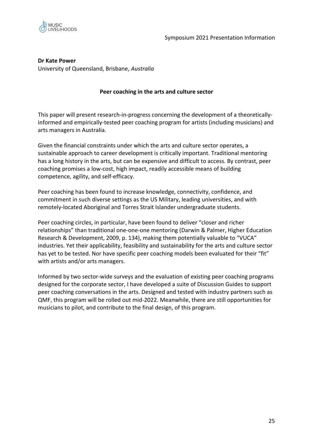

#### **Dr Kate Power** University of Queensland, Brisbane, *Australia*

## **Peer coaching in the arts and culture sector**

This paper will present research-in-progress concerning the development of a theoreticallyinformed and empirically-tested peer coaching program for artists (including musicians) and arts managers in Australia.

Given the financial constraints under which the arts and culture sector operates, a sustainable approach to career development is critically important. Traditional mentoring has a long history in the arts, but can be expensive and difficult to access. By contrast, peer coaching promises a low-cost, high impact, readily accessible means of building competence, agility, and self-efficacy.

Peer coaching has been found to increase knowledge, connectivity, confidence, and commitment in such diverse settings as the US Military, leading universities, and with remotely-located Aboriginal and Torres Strait Islander undergraduate students.

Peer coaching circles, in particular, have been found to deliver "closer and richer relationships" than traditional one-one-one mentoring (Darwin & Palmer, Higher Education Research & Development, 2009, p. 134), making them potentially valuable to "VUCA" industries. Yet their applicability, feasibility and sustainability for the arts and culture sector has yet to be tested. Nor have specific peer coaching models been evaluated for their "fit" with artists and/or arts managers.

Informed by two sector-wide surveys and the evaluation of existing peer coaching programs designed for the corporate sector, I have developed a suite of Discussion Guides to support peer coaching conversations in the arts. Designed and tested with industry partners such as QMF, this program will be rolled out mid-2022. Meanwhile, there are still opportunities for musicians to pilot, and contribute to the final design, of this program.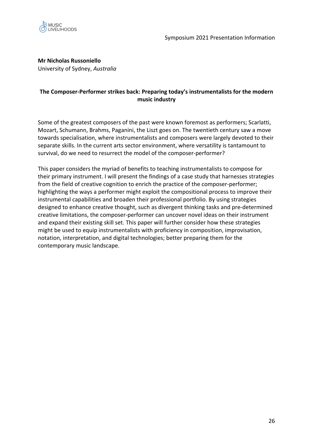

**Mr Nicholas Russoniello**

University of Sydney, *Australia*

## **The Composer-Performer strikes back: Preparing today's instrumentalists for the modern music industry**

Some of the greatest composers of the past were known foremost as performers; Scarlatti, Mozart, Schumann, Brahms, Paganini, the Liszt goes on. The twentieth century saw a move towards specialisation, where instrumentalists and composers were largely devoted to their separate skills. In the current arts sector environment, where versatility is tantamount to survival, do we need to resurrect the model of the composer-performer?

This paper considers the myriad of benefits to teaching instrumentalists to compose for their primary instrument. I will present the findings of a case study that harnesses strategies from the field of creative cognition to enrich the practice of the composer-performer; highlighting the ways a performer might exploit the compositional process to improve their instrumental capabilities and broaden their professional portfolio. By using strategies designed to enhance creative thought, such as divergent thinking tasks and pre-determined creative limitations, the composer-performer can uncover novel ideas on their instrument and expand their existing skill set. This paper will further consider how these strategies might be used to equip instrumentalists with proficiency in composition, improvisation, notation, interpretation, and digital technologies; better preparing them for the contemporary music landscape.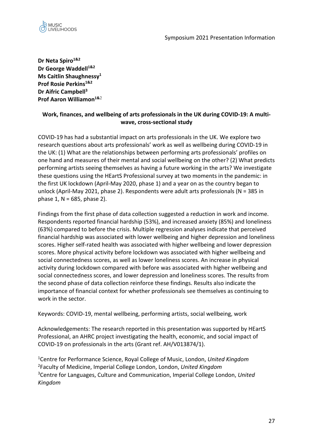

**Dr Neta Spiro1&2 Dr George Waddell**<sup>1&2</sup> **Ms Caitlin Shaughnessy1 Prof Rosie Perkins1&2 Dr Aifric Campbell3 Prof Aaron Williamon1&**<sup>2</sup>

## **Work, finances, and wellbeing of arts professionals in the UK during COVID-19: A multiwave, cross-sectional study**

COVID-19 has had a substantial impact on arts professionals in the UK. We explore two research questions about arts professionals' work as well as wellbeing during COVID-19 in the UK: (1) What are the relationships between performing arts professionals' profiles on one hand and measures of their mental and social wellbeing on the other? (2) What predicts performing artists seeing themselves as having a future working in the arts? We investigate these questions using the HEartS Professional survey at two moments in the pandemic: in the first UK lockdown (April-May 2020, phase 1) and a year on as the country began to unlock (April-May 2021, phase 2). Respondents were adult arts professionals (N = 385 in phase 1,  $N = 685$ , phase 2).

Findings from the first phase of data collection suggested a reduction in work and income. Respondents reported financial hardship (53%), and increased anxiety (85%) and loneliness (63%) compared to before the crisis. Multiple regression analyses indicate that perceived financial hardship was associated with lower wellbeing and higher depression and loneliness scores. Higher self-rated health was associated with higher wellbeing and lower depression scores. More physical activity before lockdown was associated with higher wellbeing and social connectedness scores, as well as lower loneliness scores. An increase in physical activity during lockdown compared with before was associated with higher wellbeing and social connectedness scores, and lower depression and loneliness scores. The results from the second phase of data collection reinforce these findings. Results also indicate the importance of financial context for whether professionals see themselves as continuing to work in the sector.

Keywords: COVID-19, mental wellbeing, performing artists, social wellbeing, work

Acknowledgements: The research reported in this presentation was supported by HEartS Professional, an AHRC project investigating the health, economic, and social impact of COVID-19 on professionals in the arts (Grant ref. AH/V013874/1).

 Centre for Performance Science, Royal College of Music, London, *United Kingdom* Faculty of Medicine, Imperial College London, London, *United Kingdom* Centre for Languages, Culture and Communication, Imperial College London, *United Kingdom*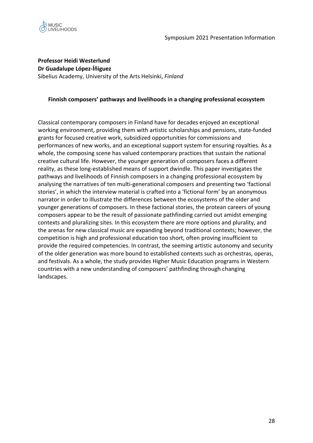



**Professor Heidi Westerlund Dr Guadalupe López-Íñiguez** Sibelius Academy, University of the Arts Helsinki, *Finland*

#### **Finnish composers' pathways and livelihoods in a changing professional ecosystem**

Classical contemporary composers in Finland have for decades enjoyed an exceptional working environment, providing them with artistic scholarships and pensions, state-funded grants for focused creative work, subsidized opportunities for commissions and performances of new works, and an exceptional support system for ensuring royalties. As a whole, the composing scene has valued contemporary practices that sustain the national creative cultural life. However, the younger generation of composers faces a different reality, as these long-established means of support dwindle. This paper investigates the pathways and livelihoods of Finnish composers in a changing professional ecosystem by analysing the narratives of ten multi-generational composers and presenting two 'factional stories', in which the interview material is crafted into a 'fictional form' by an anonymous narrator in order to illustrate the differences between the ecosystems of the older and younger generations of composers. In these factional stories, the protean careers of young composers appear to be the result of passionate pathfinding carried out amidst emerging contexts and pluralizing sites. In this ecosystem there are more options and plurality, and the arenas for new classical music are expanding beyond traditional contexts; however, the competition is high and professional education too short, often proving insufficient to provide the required competencies. In contrast, the seeming artistic autonomy and security of the older generation was more bound to established contexts such as orchestras, operas, and festivals. As a whole, the study provides Higher Music Education programs in Western countries with a new understanding of composers' pathfinding through changing landscapes.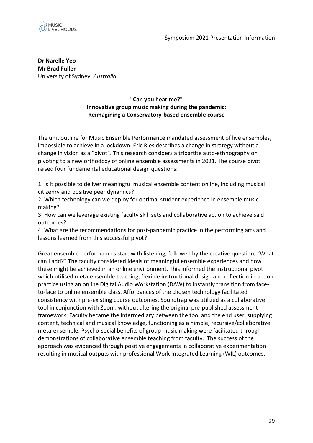

**Dr Narelle Yeo Mr Brad Fuller** University of Sydney, *Australia*

## **"Can you hear me?" Innovative group music making during the pandemic: Reimagining a Conservatory-based ensemble course**

The unit outline for Music Ensemble Performance mandated assessment of live ensembles, impossible to achieve in a lockdown. Eric Ries describes a change in strategy without a change in vision as a "pivot". This research considers a tripartite auto-ethnography on pivoting to a new orthodoxy of online ensemble assessments in 2021. The course pivot raised four fundamental educational design questions:

1. Is it possible to deliver meaningful musical ensemble content online, including musical citizenry and positive peer dynamics?

2. Which technology can we deploy for optimal student experience in ensemble music making?

3. How can we leverage existing faculty skill sets and collaborative action to achieve said outcomes?

4. What are the recommendations for post-pandemic practice in the performing arts and lessons learned from this successful pivot?

Great ensemble performances start with listening, followed by the creative question, "What can I add?" The faculty considered ideals of meaningful ensemble experiences and how these might be achieved in an online environment. This informed the instructional pivot which utilised meta-ensemble teaching, flexible instructional design and reflection-in-action practice using an online Digital Audio Workstation (DAW) to instantly transition from faceto-face to online ensemble class. Affordances of the chosen technology facilitated consistency with pre-existing course outcomes. Soundtrap was utilized as a collaborative tool in conjunction with Zoom, without altering the original pre-published assessment framework. Faculty became the intermediary between the tool and the end user, supplying content, technical and musical knowledge, functioning as a nimble, recursive/collaborative meta-ensemble. Psycho-social benefits of group music making were facilitated through demonstrations of collaborative ensemble teaching from faculty. The success of the approach was evidenced through positive engagements in collaborative experimentation resulting in musical outputs with professional Work Integrated Learning (WIL) outcomes.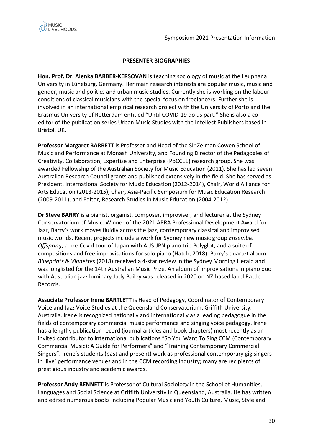

#### **PRESENTER BIOGRAPHIES**

**Hon. Prof. Dr. Alenka BARBER-KERSOVAN** is teaching sociology of music at the Leuphana University in Lüneburg, Germany. Her main research interests are popular music, music and gender, music and politics and urban music studies. Currently she is working on the labour conditions of classical musicians with the special focus on freelancers. Further she is involved in an international empirical research project with the University of Porto and the Erasmus University of Rotterdam entitled "Until COVID-19 do us part." She is also a coeditor of the publication series Urban Music Studies with the Intellect Publishers based in Bristol, UK.

**Professor Margaret BARRETT** is Professor and Head of the Sir Zelman Cowen School of Music and Performance at Monash University, and Founding Director of the Pedagogies of Creativity, Collaboration, Expertise and Enterprise (PoCCEE) research group. She was awarded Fellowship of the Australian Society for Music Education (2011). She has led seven Australian Research Council grants and published extensively in the field. She has served as President, International Society for Music Education (2012-2014), Chair, World Alliance for Arts Education (2013-2015), Chair, Asia-Pacific Symposium for Music Education Research (2009-2011), and Editor, Research Studies in Music Education (2004-2012).

**Dr Steve BARRY** is a pianist, organist, composer, improviser, and lecturer at the Sydney Conservatorium of Music. Winner of the 2021 APRA Professional Development Award for Jazz, Barry's work moves fluidly across the jazz, contemporary classical and improvised music worlds. Recent projects include a work for Sydney new music group *Ensemble Offspring*, a pre-Covid tour of Japan with AUS-JPN piano trio Polyglot, and a suite of compositions and free improvisations for solo piano (Hatch, 2018). Barry's quartet album *Blueprints & Vignettes* (2018) received a 4-star review in the Sydney Morning Herald and was longlisted for the 14th Australian Music Prize. An album of improvisations in piano duo with Australian jazz luminary Judy Bailey was released in 2020 on NZ-based label Rattle Records.

**Associate Professor Irene BARTLETT** is Head of Pedagogy, Coordinator of Contemporary Voice and Jazz Voice Studies at the Queensland Conservatorium, Griffith University, Australia. Irene is recognized nationally and internationally as a leading pedagogue in the fields of contemporary commercial music performance and singing voice pedagogy. Irene has a lengthy publication record (journal articles and book chapters) most recently as an invited contributor to international publications "So You Want To Sing CCM (Contemporary Commercial Music): A Guide for Performers" and "Training Contemporary Commercial Singers". Irene's students (past and present) work as professional contemporary gig singers in 'live' performance venues and in the CCM recording industry; many are recipients of prestigious industry and academic awards.

**Professor Andy BENNETT** is Professor of Cultural Sociology in the School of Humanities, Languages and Social Science at Griffith University in Queensland, Australia. He has written and edited numerous books including Popular Music and Youth Culture, Music, Style and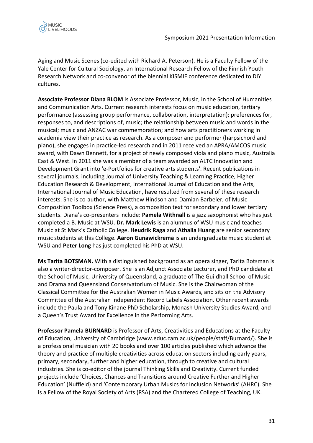

Aging and Music Scenes (co-edited with Richard A. Peterson). He is a Faculty Fellow of the Yale Center for Cultural Sociology, an International Research Fellow of the Finnish Youth Research Network and co-convenor of the biennial KISMIF conference dedicated to DIY cultures.

**Associate Professor Diana BLOM** is Associate Professor, Music, in the School of Humanities and Communication Arts. Current research interests focus on music education, tertiary performance (assessing group performance, collaboration, interpretation); preferences for, responses to, and descriptions of, music; the relationship between music and words in the musical; music and ANZAC war commemoration; and how arts practitioners working in academia view their practice as research. As a composer and performer (harpsichord and piano), she engages in practice-led research and in 2011 received an APRA/AMCOS music award, with Dawn Bennett, for a project of newly composed viola and piano music, Australia East & West. In 2011 she was a member of a team awarded an ALTC Innovation and Development Grant into 'e-Portfolios for creative arts students'. Recent publications in several journals, including Journal of University Teaching & Learning Practice, Higher Education Research & Development, International Journal of Education and the Arts, International Journal of Music Education, have resulted from several of these research interests. She is co-author, with Matthew Hindson and Damian Barbeler, of Music Composition Toolbox (Science Press), a composition text for secondary and lower tertiary students. Diana's co-presenters include: **Pamela Withnall** is a jazz saxophonist who has just completed a B. Music at WSU. **Dr. Mark Lewis** is an alumnus of WSU music and teaches Music at St Mark's Catholic College. **Heudrik Raga** and **Athalia Huang** are senior secondary music students at this College. **Aaron Gunawickrema** is an undergraduate music student at WSU and **Peter Long** has just completed his PhD at WSU.

**Ms Tarita BOTSMAN.** With a distinguished background as an opera singer, Tarita Botsman is also a writer-director-composer. She is an Adjunct Associate Lecturer, and PhD candidate at the School of Music, University of Queensland, a graduate of The Guildhall School of Music and Drama and Queensland Conservatorium of Music. She is the Chairwoman of the Classical Committee for the Australian Women in Music Awards, and sits on the Advisory Committee of the Australian Independent Record Labels Association. Other recent awards include the Paula and Tony Kinane PhD Scholarship, Monash University Studies Award, and a Queen's Trust Award for Excellence in the Performing Arts.

**Professor Pamela BURNARD** is Professor of Arts, Creativities and Educations at the Faculty of Education, University of Cambridge (www.educ.cam.ac.uk/people/staff/Burnard/). She is a professional musician with 20 books and over 100 articles published which advance the theory and practice of multiple creativities across education sectors including early years, primary, secondary, further and higher education, through to creative and cultural industries. She is co-editor of the journal Thinking Skills and Creativity. Current funded projects include 'Choices, Chances and Transitions around Creative Further and Higher Education' (Nuffield) and 'Contemporary Urban Musics for Inclusion Networks' (AHRC). She is a Fellow of the Royal Society of Arts (RSA) and the Chartered College of Teaching, UK.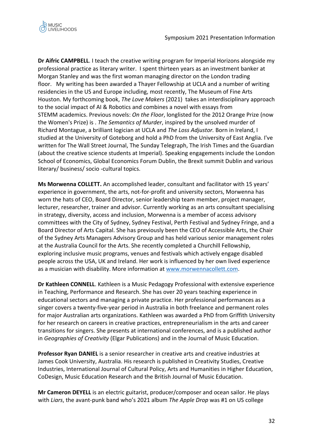

**Dr Aifric CAMPBELL**. I teach the creative writing program for Imperial Horizons alongside my professional practice as literary writer. I spent thirteen years as an investment banker at Morgan Stanley and was the first woman managing director on the London trading floor. My writing has been awarded a Thayer Fellowship at UCLA and a number of writing residencies in the US and Europe including, most recently, The Museum of Fine Arts Houston. My forthcoming book, *The Love Makers* (2021) takes an interdisciplinary approach to the social impact of AI & Robotics and combines a novel with essays from STEMM academics. Previous novels: *On the Floor*, longlisted for the 2012 Orange Prize (now the Women's Prize) is . *The Semantics of Murder*, inspired by the unsolved murder of Richard Montague, a brilliant logician at UCLA and *The Loss Adjustor.* Born in Ireland, I studied at the University of Goteborg and hold a PhD from the University of East Anglia. I've written for The Wall Street Journal, The Sunday Telegraph, The Irish Times and the Guardian (about the creative science students at Imperial). Speaking engagements include the London School of Economics, Global Economics Forum Dublin, the Brexit summit Dublin and various literary/ business/ socio -cultural topics.

**Ms Morwenna COLLETT.** An accomplished leader, consultant and facilitator with 15 years' experience in government, the arts, not-for-profit and university sectors, Morwenna has worn the hats of CEO, Board Director, senior leadership team member, project manager, lecturer, researcher, trainer and advisor. Currently working as an arts consultant specialising in strategy, diversity, access and inclusion, Morwenna is a member of access advisory committees with the City of Sydney, Sydney Festival, Perth Festival and Sydney Fringe, and a Board Director of Arts Capital. She has previously been the CEO of Accessible Arts, the Chair of the Sydney Arts Managers Advisory Group and has held various senior management roles at the Australia Council for the Arts. She recently completed a Churchill Fellowship, exploring inclusive music programs, venues and festivals which actively engage disabled people across the USA, UK and Ireland. Her work is influenced by her own lived experience as a musician with disability. More information at www.morwennacollett.com.

**Dr Kathleen CONNELL**. Kathleen is a Music Pedagogy Professional with extensive experience in Teaching, Performance and Research. She has over 20 years teaching experience in educational sectors and managing a private practice. Her professional performances as a singer covers a twenty-five-year period in Australia in both freelance and permanent roles for major Australian arts organizations. Kathleen was awarded a PhD from Griffith University for her research on careers in creative practices, entrepreneurialism in the arts and career transitions for singers. She presents at international conferences, and is a published author in *Geographies of Creativity* (Elgar Publications) and in the Journal of Music Education.

**Professor Ryan DANIEL** is a senior researcher in creative arts and creative industries at James Cook University, Australia. His research is published in Creativity Studies, Creative Industries, International Journal of Cultural Policy, Arts and Humanities in Higher Education, CoDesign, Music Education Research and the British Journal of Music Education.

**Mr Cameron DEYELL** is an electric guitarist, producer/composer and ocean sailor. He plays with *Liars*, the avant-punk band who's 2021 album *The Apple Drop* was #1 on US college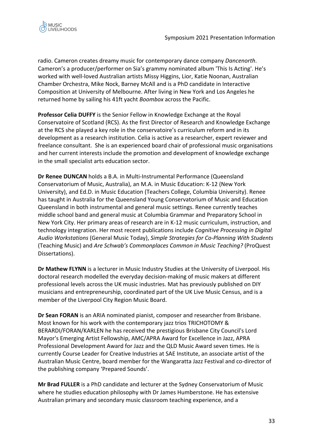

radio. Cameron creates dreamy music for contemporary dance company *Dancenorth*. Cameron's a producer/performer on Sia's grammy nominated album 'This Is Acting'. He's worked with well-loved Australian artists Missy Higgins, Lior, Katie Noonan, Australian Chamber Orchestra, Mike Nock, Barney McAll and is a PhD candidate in Interactive Composition at University of Melbourne. After living in New York and Los Angeles he returned home by sailing his 41ft yacht *Boombox* across the Pacific.

**Professor Celia DUFFY** is the Senior Fellow in Knowledge Exchange at the Royal Conservatoire of Scotland (RCS). As the first Director of Research and Knowledge Exchange at the RCS she played a key role in the conservatoire's curriculum reform and in its development as a research institution. Celia is active as a researcher, expert reviewer and freelance consultant. She is an experienced board chair of professional music organisations and her current interests include the promotion and development of knowledge exchange in the small specialist arts education sector.

**Dr Renee DUNCAN** holds a B.A. in Multi-Instrumental Performance (Queensland Conservatorium of Music, Australia), an M.A. in Music Education: K-12 (New York University), and Ed.D. in Music Education (Teachers College, Columbia University). Renee has taught in Australia for the Queensland Young Conservatorium of Music and Education Queensland in both instrumental and general music settings. Renee currently teaches middle school band and general music at Columbia Grammar and Preparatory School in New York City. Her primary areas of research are in K-12 music curriculum, instruction, and technology integration. Her most recent publications include *Cognitive Processing in Digital Audio Workstations* (General Music Today), *Simple Strategies for Co-Planning With Students* (Teaching Music) and *Are Schwab's Commonplaces Common in Music Teaching?* (ProQuest Dissertations).

**Dr Mathew FLYNN** is a lecturer in Music Industry Studies at the University of Liverpool. His doctoral research modelled the everyday decision-making of music makers at different professional levels across the UK music industries. Mat has previously published on DIY musicians and entrepreneurship, coordinated part of the UK Live Music Census, and is a member of the Liverpool City Region Music Board.

**Dr Sean FORAN** is an ARIA nominated pianist, composer and researcher from Brisbane. Most known for his work with the contemporary jazz trios TRICHOTOMY & BERARDI/FORAN/KARLEN he has received the prestigious Brisbane City Council's Lord Mayor's Emerging Artist Fellowship, AMC/APRA Award for Excellence in Jazz, APRA Professional Development Award for Jazz and the QLD Music Award seven times. He is currently Course Leader for Creative Industries at SAE Institute, an associate artist of the Australian Music Centre, board member for the Wangaratta Jazz Festival and co-director of the publishing company 'Prepared Sounds'.

**Mr Brad FULLER** is a PhD candidate and lecturer at the Sydney Conservatorium of Music where he studies education philosophy with Dr James Humberstone. He has extensive Australian primary and secondary music classroom teaching experience, and a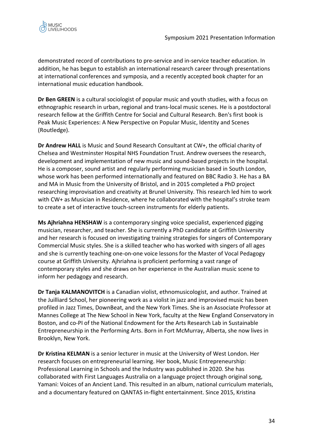

demonstrated record of contributions to pre-service and in-service teacher education. In addition, he has begun to establish an international research career through presentations at international conferences and symposia, and a recently accepted book chapter for an international music education handbook.

**Dr Ben GREEN** is a cultural sociologist of popular music and youth studies, with a focus on ethnographic research in urban, regional and trans-local music scenes. He is a postdoctoral research fellow at the Griffith Centre for Social and Cultural Research. Ben's first book is Peak Music Experiences: A New Perspective on Popular Music, Identity and Scenes (Routledge).

**Dr Andrew HALL** is Music and Sound Research Consultant at CW+, the official charity of Chelsea and Westminster Hospital NHS Foundation Trust. Andrew oversees the research, development and implementation of new music and sound-based projects in the hospital. He is a composer, sound artist and regularly performing musician based in South London, whose work has been performed internationally and featured on BBC Radio 3. He has a BA and MA in Music from the University of Bristol, and in 2015 completed a PhD project researching improvisation and creativity at Brunel University. This research led him to work with CW+ as Musician in Residence, where he collaborated with the hospital's stroke team to create a set of interactive touch-screen instruments for elderly patients.

**Ms Ajhriahna HENSHAW** is a contemporary singing voice specialist, experienced gigging musician, researcher, and teacher. She is currently a PhD candidate at Griffith University and her research is focused on investigating training strategies for singers of Contemporary Commercial Music styles. She is a skilled teacher who has worked with singers of all ages and she is currently teaching one-on-one voice lessons for the Master of Vocal Pedagogy course at Griffith University. Ajhriahna is proficient performing a vast range of contemporary styles and she draws on her experience in the Australian music scene to inform her pedagogy and research.

**Dr Tanja KALMANOVITCH** is a Canadian violist, ethnomusicologist, and author. Trained at the Juilliard School, her pioneering work as a violist in jazz and improvised music has been profiled in Jazz Times, DownBeat, and the New York Times. She is an Associate Professor at Mannes College at The New School in New York, faculty at the New England Conservatory in Boston, and co-PI of the National Endowment for the Arts Research Lab in Sustainable Entrepreneurship in the Performing Arts. Born in Fort McMurray, Alberta, she now lives in Brooklyn, New York.

**Dr Kristina KELMAN** is a senior lecturer in music at the University of West London. Her research focuses on entrepreneurial learning. Her book, Music Entrepreneurship: Professional Learning in Schools and the Industry was published in 2020. She has collaborated with First Languages Australia on a language project through original song, Yamani: Voices of an Ancient Land. This resulted in an album, national curriculum materials, and a documentary featured on QANTAS in-flight entertainment. Since 2015, Kristina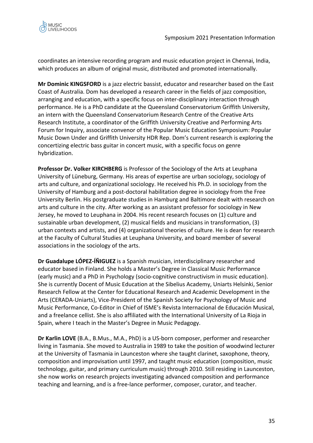

coordinates an intensive recording program and music education project in Chennai, India, which produces an album of original music, distributed and promoted internationally.

**Mr Dominic KINGSFORD** is a jazz electric bassist, educator and researcher based on the East Coast of Australia. Dom has developed a research career in the fields of jazz composition, arranging and education, with a specific focus on inter-disciplinary interaction through performance. He is a PhD candidate at the Queensland Conservatorium Griffith University, an intern with the Queensland Conservatorium Research Centre of the Creative Arts Research Institute, a coordinator of the Griffith University Creative and Performing Arts Forum for Inquiry, associate convenor of the Popular Music Education Symposium: Popular Music Down Under and Griffith University HDR Rep. Dom's current research is exploring the concertizing electric bass guitar in concert music, with a specific focus on genre hybridization.

**Professor Dr. Volker KIRCHBERG** is Professor of the Sociology of the Arts at Leuphana University of Lüneburg, Germany. His areas of expertise are urban sociology, sociology of arts and culture, and organizational sociology. He received his Ph.D. in sociology from the University of Hamburg and a post-doctoral habilitation degree in sociology from the Free University Berlin. His postgraduate studies in Hamburg and Baltimore dealt with research on arts and culture in the city. After working as an assistant professor for sociology in New Jersey, he moved to Leuphana in 2004. His recent research focuses on (1) culture and sustainable urban development, (2) musical fields and musicians in transformation, (3) urban contexts and artists, and (4) organizational theories of culture. He is dean for research at the Faculty of Cultural Studies at Leuphana University, and board member of several associations in the sociology of the arts.

**Dr Guadalupe LÓPEZ-ÍÑIGUEZ** is a Spanish musician, interdisciplinary researcher and educator based in Finland. She holds a Master's Degree in Classical Music Performance (early music) and a PhD in Psychology (socio-cognitive constructivism in music education). She is currently Docent of Music Education at the Sibelius Academy, Uniarts Helsinki, Senior Research Fellow at the Center for Educational Research and Academic Development in the Arts (CERADA-Uniarts), Vice-President of the Spanish Society for Psychology of Music and Music Performance, Co-Editor in Chief of ISME's Revista Internacional de Educación Musical, and a freelance cellist. She is also affiliated with the International University of La Rioja in Spain, where I teach in the Master's Degree in Music Pedagogy.

**Dr Karlin LOVE** (B.A., B.Mus., M.A., PhD) is a US-born composer, performer and researcher living in Tasmania. She moved to Australia in 1989 to take the position of woodwind lecturer at the University of Tasmania in Launceston where she taught clarinet, saxophone, theory, composition and improvisation until 1997, and taught music education (composition, music technology, guitar, and primary curriculum music) through 2010. Still residing in Launceston, she now works on research projects investigating advanced composition and performance teaching and learning, and is a free-lance performer, composer, curator, and teacher.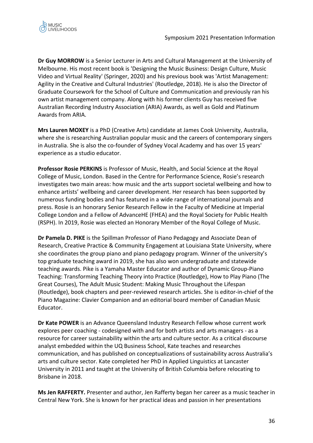**Dr Guy MORROW** is a Senior Lecturer in Arts and Cultural Management at the University of Melbourne. His most recent book is 'Designing the Music Business: Design Culture, Music Video and Virtual Reality' (Springer, 2020) and his previous book was 'Artist Management: Agility in the Creative and Cultural Industries' (Routledge, 2018). He is also the Director of Graduate Coursework for the School of Culture and Communication and previously ran his own artist management company. Along with his former clients Guy has received five Australian Recording Industry Association (ARIA) Awards, as well as Gold and Platinum Awards from ARIA.

**Mrs Lauren MOXEY** is a PhD (Creative Arts) candidate at James Cook University, Australia, where she is researching Australian popular music and the careers of contemporary singers in Australia. She is also the co-founder of Sydney Vocal Academy and has over 15 years' experience as a studio educator.

**Professor Rosie PERKINS** is Professor of Music, Health, and Social Science at the Royal College of Music, London. Based in the Centre for Performance Science, Rosie's research investigates two main areas: how music and the arts support societal wellbeing and how to enhance artists' wellbeing and career development. Her research has been supported by numerous funding bodies and has featured in a wide range of international journals and press. Rosie is an honorary Senior Research Fellow in the Faculty of Medicine at Imperial College London and a Fellow of AdvanceHE (FHEA) and the Royal Society for Public Health (RSPH). In 2019, Rosie was elected an Honorary Member of the Royal College of Music.

**Dr Pamela D. PIKE** is the Spillman Professor of Piano Pedagogy and Associate Dean of Research, Creative Practice & Community Engagement at Louisiana State University, where she coordinates the group piano and piano pedagogy program. Winner of the university's top graduate teaching award in 2019, she has also won undergraduate and statewide teaching awards. Pike is a Yamaha Master Educator and author of Dynamic Group-Piano Teaching: Transforming Teaching Theory into Practice (Routledge), How to Play Piano (The Great Courses), The Adult Music Student: Making Music Throughout the Lifespan (Routledge), book chapters and peer-reviewed research articles. She is editor-in-chief of the Piano Magazine: Clavier Companion and an editorial board member of Canadian Music Educator.

**Dr Kate POWER** is an Advance Queensland Industry Research Fellow whose current work explores peer coaching - codesigned with and for both artists and arts managers - as a resource for career sustainability within the arts and culture sector. As a critical discourse analyst embedded within the UQ Business School, Kate teaches and researches communication, and has published on conceptualizations of sustainability across Australia's arts and culture sector. Kate completed her PhD in Applied Linguistics at Lancaster University in 2011 and taught at the University of British Columbia before relocating to Brisbane in 2018.

**Ms Jen RAFFERTY.** Presenter and author, Jen Rafferty began her career as a music teacher in Central New York. She is known for her practical ideas and passion in her presentations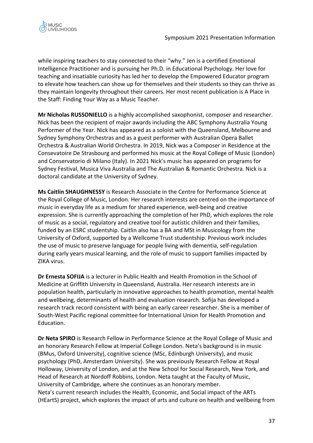

while inspiring teachers to stay connected to their "why." Jen is a certified Emotional Intelligence Practitioner and is pursuing her Ph.D. in Educational Psychology. Her love for teaching and insatiable curiosity has led her to develop the Empowered Educator program to elevate how teachers can show up for themselves and their students so they can thrive as they maintain longevity throughout their careers. Her most recent publication is A Place in the Staff: Finding Your Way as a Music Teacher.

**Mr Nicholas RUSSONIELLO** is a highly accomplished saxophonist, composer and researcher. Nick has been the recipient of major awards including the ABC Symphony Australia Young Performer of the Year. Nick has appeared as a soloist with the Queensland, Melbourne and Sydney Symphony Orchestras and as a guest performer with Australian Opera Ballet Orchestra & Australian World Orchestra. In 2019, Nick was a Composer in Residence at the Consevatoire De Strasbourg and performed his music at the Royal College of Music (London) and Conservatorio di Milano (Italy). In 2021 Nick's music has appeared on programs for Sydney Festival, Musica Viva Australia and The Australian & Romantic Orchestra. Nick is a doctoral candidate at the University of Sydney.

**Ms Caitlin SHAUGHNESSY** is Research Associate in the Centre for Performance Science at the Royal College of Music, London. Her research interests are centred on the importance of music in everyday life as a medium for shared experience, well-being and creative expression. She is currently approaching the completion of her PhD, which explores the role of music as a social, regulatory and creative tool for autistic children and their families, funded by an ESRC studentship. Caitlin also has a BA and MSt in Musicology from the University of Oxford, supported by a Wellcome Trust studentship. Previous work includes the use of music to preserve language for people living with dementia, self-regulation during early years musical learning, and the role of music to support families impacted by ZIKA virus.

**Dr Ernesta SOFIJA** is a lecturer in Public Health and Health Promotion in the School of Medicine at Griffith University in Queensland, Australia. Her research interests are in population health, particularly in innovative approaches to health promotion, mental health and wellbeing, determinants of health and evaluation research. Sofija has developed a research track record consistent with being an early career researcher. She is a member of South-West Pacific regional committee for International Union for Health Promotion and Education.

**Dr Neta SPIRO** is Research Fellow in Performance Science at the Royal College of Music and an honorary Research Fellow at Imperial College London. Neta's background is in music (BMus, Oxford University), cognitive science (MSc, Edinburgh University), and music psychology (PhD, Amsterdam University). She was previously Research Fellow at Royal Holloway, University of London, and at the New School for Social Research, New York, and Head of Research at Nordoff Robbins, London. Neta taught at the Faculty of Music, University of Cambridge, where she continues as an honorary member. Neta's current research includes the Health, Economic, and Social impact of the ARTs (HEartS) project, which explores the impact of arts and culture on health and wellbeing from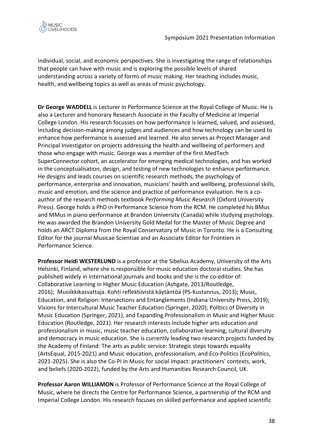

individual, social, and economic perspectives. She is investigating the range of relationships that people can have with music and is exploring the possible levels of shared understanding across a variety of forms of music making. Her teaching includes music, health, and wellbeing topics as well as areas of music psychology.

**Dr George WADDELL** is Lecturer in Performance Science at the Royal College of Music. He is also a Lecturer and honorary Research Associate in the Faculty of Medicine at Imperial College London. His research focusses on how performance is learned, valued, and assessed, including decision-making among judges and audiences and how technology can be used to enhance how performance is assessed and learned. He also serves as Project Manager and Principal Investigator on projects addressing the health and wellbeing of performers and those who engage with music. George was a member of the first MedTech SuperConnector cohort, an accelerator for emerging medical technologies, and has worked in the conceptualisation, design, and testing of new technologies to enhance performance. He designs and leads courses on scientific research methods, the psychology of performance, enterprise and innovation, musicians' health and wellbeing, professional skills, music and emotion, and the science and practice of performance evaluation. He is a coauthor of the research methods textbook *Performing Music Research* (Oxford University Press). George holds a PhD in Performance Science from the RCM. He completed his BMus and MMus in piano performance at Brandon University (Canada) while studying psychology. He was awarded the Brandon University Gold Medal for the Master of Music Degree and holds an ARCT Diploma from the Royal Conservatory of Music in Toronto. He is a Consulting Editor for the journal Musicae Scientiae and an Associate Editor for Frontiers in Performance Science.

**Professor Heidi WESTERLUND** is a professor at the Sibelius Academy, University of the Arts Helsinki, Finland, where she is responsible for music education doctoral studies. She has published widely in international journals and books and she is the co-editor of: Collaborative Learning in Higher Music Education (Ashgate, 2013/Routledge, 2016); Musiikkikasvattaja. Kohti reflektiivistä käytäntöä (PS-Kustannus, 2013); Music, Education, and Religion: Intersections and Entanglements (Indiana University Press, 2019); Visions for Intercultural Music Teacher Education (Springer, 2020); Politics of Diversity in Music Education (Springer, 2021), and Expanding Professionalism in Music and Higher Music Education (Routledge, 2021). Her research interests include higher arts education and professionalism in music, music teacher education, collaborative learning, cultural diversity and democracy in music education. She is currently leading two research projects funded by the Academy of Finland: The arts as public service: Strategic steps towards equality (ArtsEqual, 2015-2021) and Music education, professionalism, and Eco-Politics (EcoPolitics, 2021-2025). She is also the Co-PI in Music for social impact: practitioners' contexts, work, and beliefs (2020-2022), funded by the Arts and Humanities Research Council, UK.

**Professor Aaron WILLIAMON** is Professor of Performance Science at the Royal College of Music, where he directs the Centre for Performance Science, a partnership of the RCM and Imperial College London. His research focuses on skilled performance and applied scientific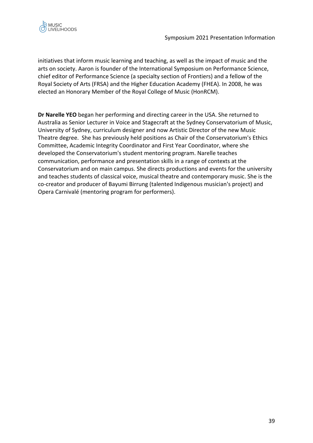

initiatives that inform music learning and teaching, as well as the impact of music and the arts on society. Aaron is founder of the International Symposium on Performance Science, chief editor of Performance Science (a specialty section of Frontiers) and a fellow of the Royal Society of Arts (FRSA) and the Higher Education Academy (FHEA). In 2008, he was elected an Honorary Member of the Royal College of Music (HonRCM).

**Dr Narelle YEO** began her performing and directing career in the USA. She returned to Australia as Senior Lecturer in Voice and Stagecraft at the Sydney Conservatorium of Music, University of Sydney, curriculum designer and now Artistic Director of the new Music Theatre degree. She has previously held positions as Chair of the Conservatorium's Ethics Committee, Academic Integrity Coordinator and First Year Coordinator, where she developed the Conservatorium's student mentoring program. Narelle teaches communication, performance and presentation skills in a range of contexts at the Conservatorium and on main campus. She directs productions and events for the university and teaches students of classical voice, musical theatre and contemporary music. She is the co-creator and producer of Bayumi Birrung (talented Indigenous musician's project) and Opera Carnivalé (mentoring program for performers).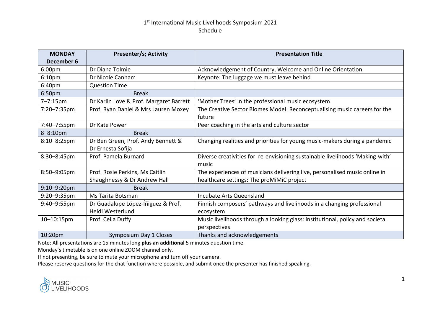# 1<sup>st</sup> International Music Livelihoods Symposium 2021 Schedule

| <b>MONDAY</b><br>December 6 | <b>Presenter/s; Activity</b>            | <b>Presentation Title</b>                                                     |
|-----------------------------|-----------------------------------------|-------------------------------------------------------------------------------|
| 6:00pm                      | Dr Diana Tolmie                         | Acknowledgement of Country, Welcome and Online Orientation                    |
| 6:10 <sub>pm</sub>          | Dr Nicole Canham                        | Keynote: The luggage we must leave behind                                     |
| 6:40 <sub>pm</sub>          | <b>Question Time</b>                    |                                                                               |
| 6:50pm                      | <b>Break</b>                            |                                                                               |
| $7 - 7:15$ pm               | Dr Karlin Love & Prof. Margaret Barrett | 'Mother Trees' in the professional music ecosystem                            |
| 7:20-7:35pm                 | Prof. Ryan Daniel & Mrs Lauren Moxey    | The Creative Sector Biomes Model: Reconceptualising music careers for the     |
|                             |                                         | future                                                                        |
| 7:40-7:55pm                 | Dr Kate Power                           | Peer coaching in the arts and culture sector                                  |
| $8 - 8:10$ pm               | <b>Break</b>                            |                                                                               |
| 8:10-8:25pm                 | Dr Ben Green, Prof. Andy Bennett &      | Changing realities and priorities for young music-makers during a pandemic    |
|                             | Dr Ernesta Sofija                       |                                                                               |
| 8:30-8:45pm                 | Prof. Pamela Burnard                    | Diverse creativities for re-envisioning sustainable livelihoods 'Making-with' |
|                             |                                         | music                                                                         |
| 8:50-9:05pm                 | Prof. Rosie Perkins, Ms Caitlin         | The experiences of musicians delivering live, personalised music online in    |
|                             | Shaughnessy & Dr Andrew Hall            | healthcare settings: The proMiMiC project                                     |
| $9:10 - 9:20$ pm            | <b>Break</b>                            |                                                                               |
| 9:20-9:35pm                 | Ms Tarita Botsman                       | Incubate Arts Queensland                                                      |
| $9:40 - 9:55$ pm            | Dr Guadalupe López-Íñiguez & Prof.      | Finnish composers' pathways and livelihoods in a changing professional        |
|                             | Heidi Westerlund                        | ecosystem                                                                     |
| $10 - 10:15$ pm             | Prof. Celia Duffy                       | Music livelihoods through a looking glass: institutional, policy and societal |
|                             |                                         | perspectives                                                                  |
| 10:20pm                     | Symposium Day 1 Closes                  | Thanks and acknowledgements                                                   |

Note: All presentations are 15 minutes long **plus an additional** 5 minutes question time.

Monday's timetable is on one online ZOOM channel only.

If not presenting, be sure to mute your microphone and turn off your camera.

Please reserve questions for the chat function where possible, and submit once the presenter has finished speaking.

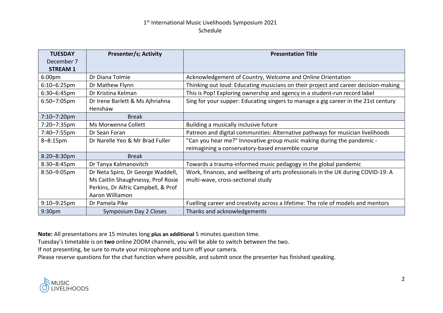# 1<sup>st</sup> International Music Livelihoods Symposium 2021 Schedule

| <b>TUESDAY</b>     | <b>Presenter/s; Activity</b>        | <b>Presentation Title</b>                                                          |
|--------------------|-------------------------------------|------------------------------------------------------------------------------------|
| December 7         |                                     |                                                                                    |
| <b>STREAM 1</b>    |                                     |                                                                                    |
| 6:00 <sub>pm</sub> | Dr Diana Tolmie                     | Acknowledgement of Country, Welcome and Online Orientation                         |
| $6:10 - 6:25$ pm   | Dr Mathew Flynn                     | Thinking out loud: Educating musicians on their project and career decision-making |
| $6:30 - 6:45$ pm   | Dr Kristina Kelman                  | This is Pop! Exploring ownership and agency in a student-run record label          |
| $6:50 - 7:05$ pm   | Dr Irene Barlett & Ms Ajhriahna     | Sing for your supper: Educating singers to manage a gig career in the 21st century |
|                    | Henshaw                             |                                                                                    |
| 7:10-7:20pm        | <b>Break</b>                        |                                                                                    |
| 7:20-7:35pm        | Ms Morwenna Collett                 | Building a musically inclusive future                                              |
| 7:40-7:55pm        | Dr Sean Foran                       | Patreon and digital communities: Alternative pathways for musician livelihoods     |
| $8 - 8:15$ pm      | Dr Narelle Yeo & Mr Brad Fuller     | "Can you hear me?" Innovative group music making during the pandemic -             |
|                    |                                     | reimagining a conservatory-based ensemble course                                   |
| $8:20 - 8:30$ pm   | <b>Break</b>                        |                                                                                    |
| 8:30-8:45pm        | Dr Tanya Kalmanovitch               | Towards a trauma-informed music pedagogy in the global pandemic                    |
| 8:50-9:05pm        | Dr Neta Spiro, Dr George Waddell,   | Work, finances, and wellbeing of arts professionals in the UK during COVID-19: A   |
|                    | Ms Caitlin Shaughnessy, Prof Rosie  | multi-wave, cross-sectional study                                                  |
|                    | Perkins, Dr Aifric Campbell, & Prof |                                                                                    |
|                    | Aaron Williamon                     |                                                                                    |
| $9:10 - 9:25$ pm   | Dr Pamela Pike                      | Fuelling career and creativity across a lifetime: The role of models and mentors   |
| 9:30 <sub>pm</sub> | Symposium Day 2 Closes              | Thanks and acknowledgements                                                        |

**Note:** All presentations are 15 minutes long **plus an additional** 5 minutes question time.

Tuesday's timetable is on **two** online ZOOM channels, you will be able to switch between the two.

If not presenting, be sure to mute your microphone and turn off your camera.

Please reserve questions for the chat function where possible, and submit once the presenter has finished speaking.